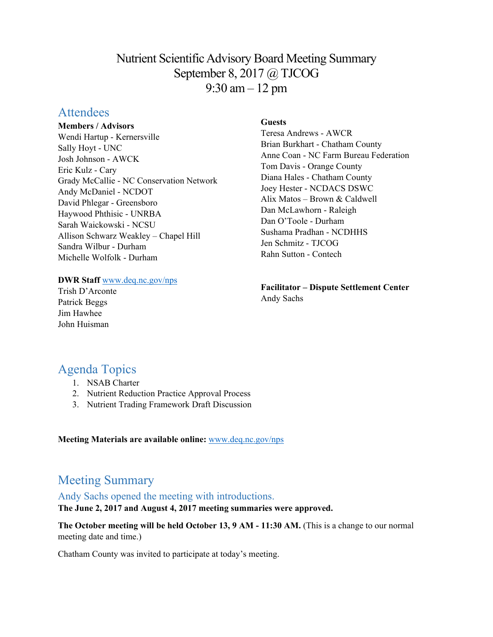# Nutrient Scientific Advisory Board Meeting Summary September 8, 2017 @ TJCOG 9:30 am – 12 pm

## Attendees

#### **Members / Advisors**

Wendi Hartup - Kernersville Sally Hoyt - UNC Josh Johnson - AWCK Eric Kulz - Cary Grady McCallie - NC Conservation Network Andy McDaniel - NCDOT David Phlegar - Greensboro Haywood Phthisic - UNRBA Sarah Waickowski - NCSU Allison Schwarz Weakley – Chapel Hill Sandra Wilbur - Durham Michelle Wolfolk - Durham

## **Guests**

Teresa Andrews - AWCR Brian Burkhart - Chatham County Anne Coan - NC Farm Bureau Federation Tom Davis - Orange County Diana Hales - Chatham County Joey Hester - NCDACS DSWC Alix Matos – Brown & Caldwell Dan McLawhorn - Raleigh Dan O'Toole - Durham Sushama Pradhan - NCDHHS Jen Schmitz - TJCOG Rahn Sutton - Contech

# **Facilitator – Dispute Settlement Center**

Andy Sachs

# Agenda Topics

Trish D'Arconte Patrick Beggs Jim Hawhee John Huisman

1. NSAB Charter

**DWR Staff** [www.deq.nc.gov/nps](http://www.deq.nc.gov/nps)

- 2. Nutrient Reduction Practice Approval Process
- 3. Nutrient Trading Framework Draft Discussion

#### **Meeting Materials are available online:** [www.deq.nc.gov/nps](https://deq.nc.gov/about/divisions/water-resources/planning/nonpoint-source-management/nutrient-scientific-advisory-board/meeting-documents)

# Meeting Summary

### Andy Sachs opened the meeting with introductions.

**The June 2, 2017 and August 4, 2017 meeting summaries were approved.** 

**The October meeting will be held October 13, 9 AM - 11:30 AM.** (This is a change to our normal meeting date and time.)

Chatham County was invited to participate at today's meeting.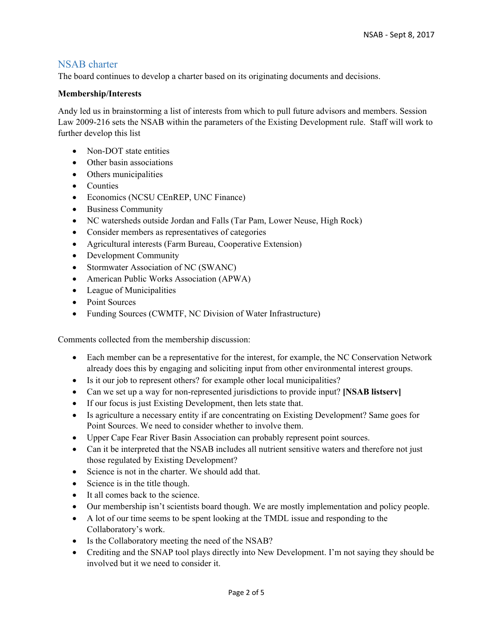### NSAB charter

The board continues to develop a charter based on its originating documents and decisions.

#### **Membership/Interests**

Andy led us in brainstorming a list of interests from which to pull future advisors and members. Session Law 2009-216 sets the NSAB within the parameters of the Existing Development rule. Staff will work to further develop this list

- Non-DOT state entities
- Other basin associations
- Others municipalities
- Counties
- Economics (NCSU CEnREP, UNC Finance)
- Business Community
- NC watersheds outside Jordan and Falls (Tar Pam, Lower Neuse, High Rock)
- Consider members as representatives of categories
- Agricultural interests (Farm Bureau, Cooperative Extension)
- Development Community
- Stormwater Association of NC (SWANC)
- American Public Works Association (APWA)
- League of Municipalities
- Point Sources
- Funding Sources (CWMTF, NC Division of Water Infrastructure)

Comments collected from the membership discussion:

- Each member can be a representative for the interest, for example, the NC Conservation Network already does this by engaging and soliciting input from other environmental interest groups.
- Is it our job to represent others? for example other local municipalities?
- Can we set up a way for non-represented jurisdictions to provide input? **[NSAB listserv]**
- If our focus is just Existing Development, then lets state that.
- Is agriculture a necessary entity if are concentrating on Existing Development? Same goes for Point Sources. We need to consider whether to involve them.
- Upper Cape Fear River Basin Association can probably represent point sources.
- Can it be interpreted that the NSAB includes all nutrient sensitive waters and therefore not just those regulated by Existing Development?
- Science is not in the charter. We should add that.
- Science is in the title though.
- It all comes back to the science.
- Our membership isn't scientists board though. We are mostly implementation and policy people.
- A lot of our time seems to be spent looking at the TMDL issue and responding to the Collaboratory's work.
- Is the Collaboratory meeting the need of the NSAB?
- Crediting and the SNAP tool plays directly into New Development. I'm not saying they should be involved but it we need to consider it.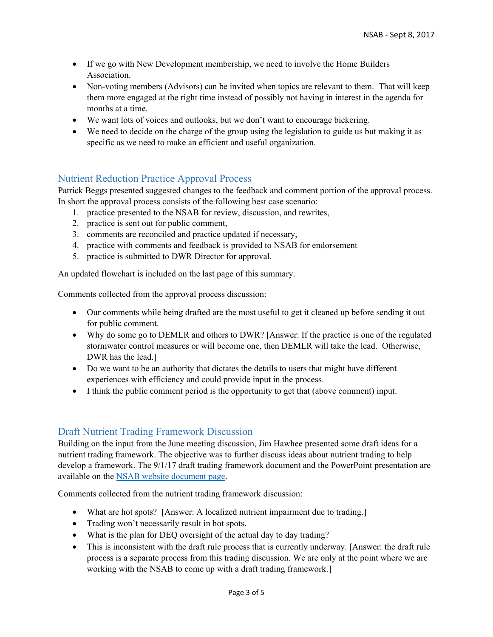- If we go with New Development membership, we need to involve the Home Builders Association.
- Non-voting members (Advisors) can be invited when topics are relevant to them. That will keep them more engaged at the right time instead of possibly not having in interest in the agenda for months at a time.
- We want lots of voices and outlooks, but we don't want to encourage bickering.
- We need to decide on the charge of the group using the legislation to guide us but making it as specific as we need to make an efficient and useful organization.

## Nutrient Reduction Practice Approval Process

Patrick Beggs presented suggested changes to the feedback and comment portion of the approval process. In short the approval process consists of the following best case scenario:

- 1. practice presented to the NSAB for review, discussion, and rewrites,
- 2. practice is sent out for public comment,
- 3. comments are reconciled and practice updated if necessary,
- 4. practice with comments and feedback is provided to NSAB for endorsement
- 5. practice is submitted to DWR Director for approval.

An updated flowchart is included on the last page of this summary.

Comments collected from the approval process discussion:

- Our comments while being drafted are the most useful to get it cleaned up before sending it out for public comment.
- Why do some go to DEMLR and others to DWR? [Answer: If the practice is one of the regulated stormwater control measures or will become one, then DEMLR will take the lead. Otherwise, DWR has the lead.]
- Do we want to be an authority that dictates the details to users that might have different experiences with efficiency and could provide input in the process.
- I think the public comment period is the opportunity to get that (above comment) input.

## Draft Nutrient Trading Framework Discussion

Building on the input from the June meeting discussion, Jim Hawhee presented some draft ideas for a nutrient trading framework. The objective was to further discuss ideas about nutrient trading to help develop a framework. The 9/1/17 draft trading framework document and the PowerPoint presentation are available on the [NSAB website document page.](https://deq.nc.gov/about/divisions/water-resources/planning/nonpoint-source-management/nutrient-scientific-advisory-board/meeting-documents)

Comments collected from the nutrient trading framework discussion:

- What are hot spots? [Answer: A localized nutrient impairment due to trading.]
- Trading won't necessarily result in hot spots.
- What is the plan for DEQ oversight of the actual day to day trading?
- This is inconsistent with the draft rule process that is currently underway. [Answer: the draft rule process is a separate process from this trading discussion. We are only at the point where we are working with the NSAB to come up with a draft trading framework.]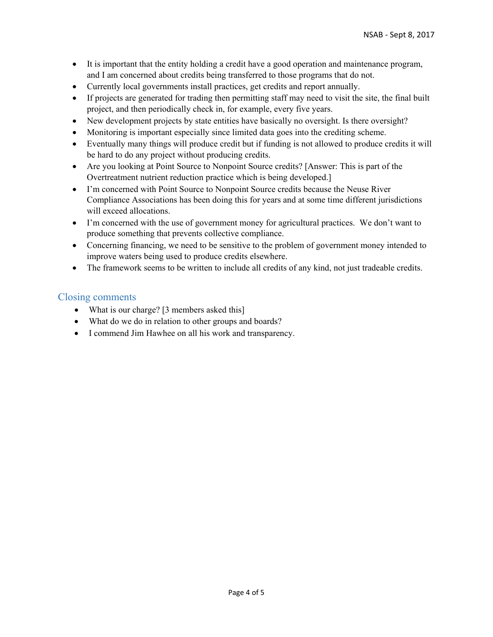- It is important that the entity holding a credit have a good operation and maintenance program, and I am concerned about credits being transferred to those programs that do not.
- Currently local governments install practices, get credits and report annually.
- If projects are generated for trading then permitting staff may need to visit the site, the final built project, and then periodically check in, for example, every five years.
- New development projects by state entities have basically no oversight. Is there oversight?
- Monitoring is important especially since limited data goes into the crediting scheme.
- Eventually many things will produce credit but if funding is not allowed to produce credits it will be hard to do any project without producing credits.
- Are you looking at Point Source to Nonpoint Source credits? [Answer: This is part of the Overtreatment nutrient reduction practice which is being developed.]
- I'm concerned with Point Source to Nonpoint Source credits because the Neuse River Compliance Associations has been doing this for years and at some time different jurisdictions will exceed allocations.
- I'm concerned with the use of government money for agricultural practices. We don't want to produce something that prevents collective compliance.
- Concerning financing, we need to be sensitive to the problem of government money intended to improve waters being used to produce credits elsewhere.
- The framework seems to be written to include all credits of any kind, not just tradeable credits.

### Closing comments

- What is our charge? [3 members asked this]
- What do we do in relation to other groups and boards?
- I commend Jim Hawhee on all his work and transparency.